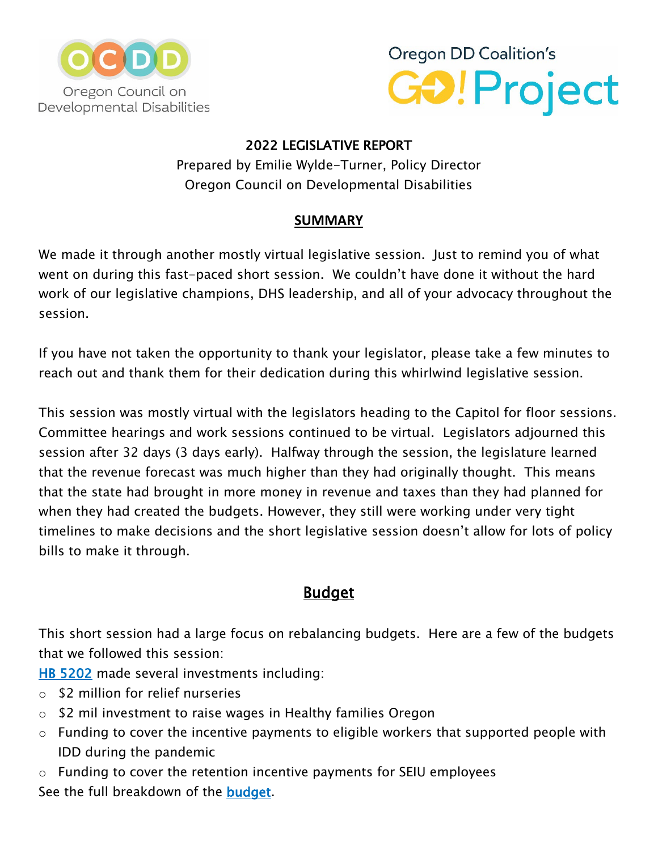



### 2022 LEGISLATIVE REPORT

Prepared by Emilie Wylde-Turner, Policy Director Oregon Council on Developmental Disabilities

## **SUMMARY**

We made it through another mostly virtual legislative session. Just to remind you of what went on during this fast-paced short session. We couldn't have done it without the hard work of our legislative champions, DHS leadership, and all of your advocacy throughout the session.

If you have not taken the opportunity to thank your legislator, please take a few minutes to reach out and thank them for their dedication during this whirlwind legislative session.

This session was mostly virtual with the legislators heading to the Capitol for floor sessions. Committee hearings and work sessions continued to be virtual. Legislators adjourned this session after 32 days (3 days early). Halfway through the session, the legislature learned that the revenue forecast was much higher than they had originally thought. This means that the state had brought in more money in revenue and taxes than they had planned for when they had created the budgets. However, they still were working under very tight timelines to make decisions and the short legislative session doesn't allow for lots of policy bills to make it through.

# **Budget**

This short session had a large focus on rebalancing budgets. Here are a few of the budgets that we followed this session:

[HB 5202](https://olis.oregonlegislature.gov/liz/2022R1/Measures/Analysis/HB5202) made several investments including:

- o \$2 million for relief nurseries
- o \$2 mil investment to raise wages in Healthy families Oregon
- o Funding to cover the incentive payments to eligible workers that supported people with IDD during the pandemic

o Funding to cover the retention incentive payments for SEIU employees See the full breakdown of the **budget**.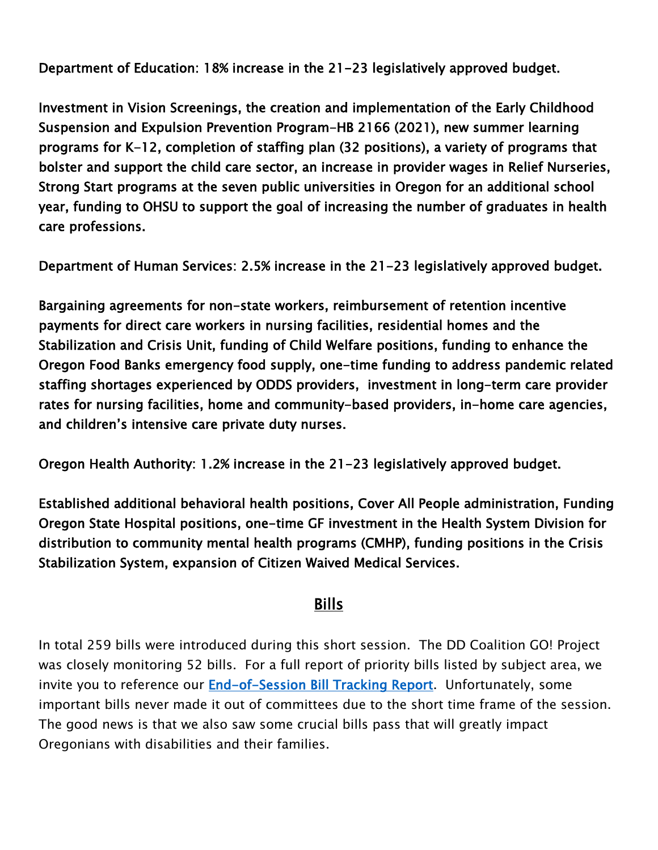Department of Education: 18% increase in the 21-23 legislatively approved budget.

Investment in Vision Screenings, the creation and implementation of the Early Childhood Suspension and Expulsion Prevention Program-HB 2166 (2021), new summer learning programs for K-12, completion of staffing plan (32 positions), a variety of programs that bolster and support the child care sector, an increase in provider wages in Relief Nurseries, Strong Start programs at the seven public universities in Oregon for an additional school year, funding to OHSU to support the goal of increasing the number of graduates in health care professions.

Department of Human Services: 2.5% increase in the 21-23 legislatively approved budget.

Bargaining agreements for non-state workers, reimbursement of retention incentive payments for direct care workers in nursing facilities, residential homes and the Stabilization and Crisis Unit, funding of Child Welfare positions, funding to enhance the Oregon Food Banks emergency food supply, one-time funding to address pandemic related staffing shortages experienced by ODDS providers, investment in long-term care provider rates for nursing facilities, home and community-based providers, in-home care agencies, and children's intensive care private duty nurses.

Oregon Health Authority: 1.2% increase in the 21-23 legislatively approved budget.

Established additional behavioral health positions, Cover All People administration, Funding Oregon State Hospital positions, one-time GF investment in the Health System Division for distribution to community mental health programs (CMHP), funding positions in the Crisis Stabilization System, expansion of Citizen Waived Medical Services.

# Bills

In total 259 bills were introduced during this short session. The DD Coalition GO! Project was closely monitoring 52 bills. For a full report of priority bills listed by subject area, we invite you to reference our [End-of-Session Bill Tracking Report.](http://orddcoalition.org/wp-content/uploads/2022/04/2022-End-of-Session-Bill-Tracker-Report.pdf) Unfortunately, some important bills never made it out of committees due to the short time frame of the session. The good news is that we also saw some crucial bills pass that will greatly impact Oregonians with disabilities and their families.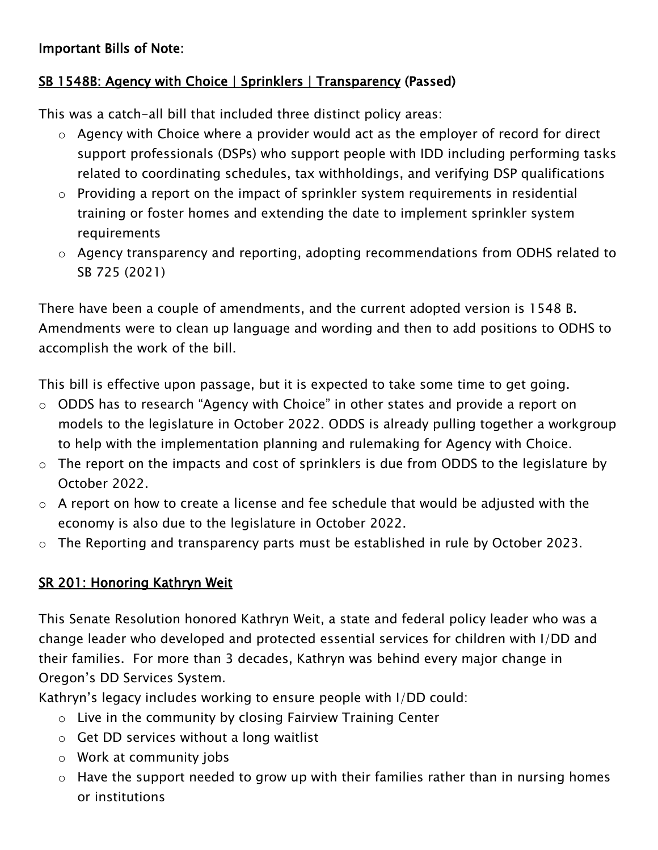### Important Bills of Note:

## SB 1548B: Agency with Choice | Sprinklers | Transparency (Passed)

This was a catch-all bill that included three distinct policy areas:

- o Agency with Choice where a provider would act as the employer of record for direct support professionals (DSPs) who support people with IDD including performing tasks related to coordinating schedules, tax withholdings, and verifying DSP qualifications
- o Providing a report on the impact of sprinkler system requirements in residential training or foster homes and extending the date to implement sprinkler system requirements
- o Agency transparency and reporting, adopting recommendations from ODHS related to SB 725 (2021)

There have been a couple of amendments, and the current adopted version is 1548 B. Amendments were to clean up language and wording and then to add positions to ODHS to accomplish the work of the bill.

This bill is effective upon passage, but it is expected to take some time to get going.

- o ODDS has to research "Agency with Choice" in other states and provide a report on models to the legislature in October 2022. ODDS is already pulling together a workgroup to help with the implementation planning and rulemaking for Agency with Choice.
- o The report on the impacts and cost of sprinklers is due from ODDS to the legislature by October 2022.
- $\circ$  A report on how to create a license and fee schedule that would be adjusted with the economy is also due to the legislature in October 2022.
- o The Reporting and transparency parts must be established in rule by October 2023.

### SR 201: Honoring Kathryn Weit

This Senate Resolution honored Kathryn Weit, a state and federal policy leader who was a change leader who developed and protected essential services for children with I/DD and their families. For more than 3 decades, Kathryn was behind every major change in Oregon's DD Services System.

Kathryn's legacy includes working to ensure people with I/DD could:

- o Live in the community by closing Fairview Training Center
- o Get DD services without a long waitlist
- o Work at community jobs
- $\circ$  Have the support needed to grow up with their families rather than in nursing homes or institutions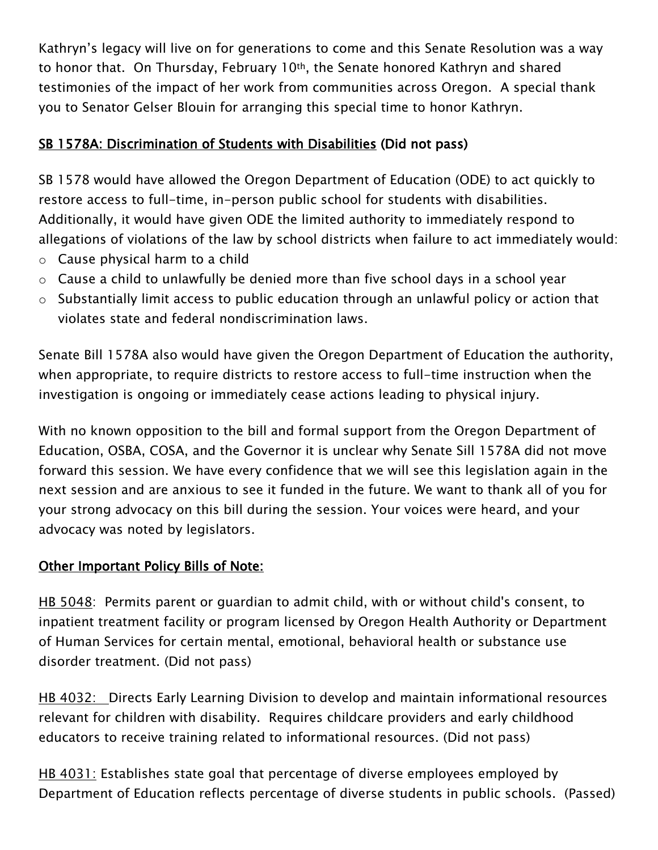Kathryn's legacy will live on for generations to come and this Senate Resolution was a way to honor that. On Thursday, February 10th, the Senate honored Kathryn and shared testimonies of the impact of her work from communities across Oregon. A special thank you to Senator Gelser Blouin for arranging this special time to honor Kathryn.

## SB 1578A: Discrimination of Students with Disabilities (Did not pass)

SB 1578 would have allowed the Oregon Department of Education (ODE) to act quickly to restore access to full-time, in-person public school for students with disabilities. Additionally, it would have given ODE the limited authority to immediately respond to allegations of violations of the law by school districts when failure to act immediately would:

- $\circ$  Cause physical harm to a child
- o Cause a child to unlawfully be denied more than five school days in a school year
- o Substantially limit access to public education through an unlawful policy or action that violates state and federal nondiscrimination laws.

Senate Bill 1578A also would have given the Oregon Department of Education the authority, when appropriate, to require districts to restore access to full-time instruction when the investigation is ongoing or immediately cease actions leading to physical injury.

With no known opposition to the bill and formal support from the Oregon Department of Education, OSBA, COSA, and the Governor it is unclear why Senate Sill 1578A did not move forward this session. We have every confidence that we will see this legislation again in the next session and are anxious to see it funded in the future. We want to thank all of you for your strong advocacy on this bill during the session. Your voices were heard, and your advocacy was noted by legislators.

### Other Important Policy Bills of Note:

HB 5048: Permits parent or guardian to admit child, with or without child's consent, to inpatient treatment facility or program licensed by Oregon Health Authority or Department of Human Services for certain mental, emotional, behavioral health or substance use disorder treatment. (Did not pass)

HB 4032: Directs Early Learning Division to develop and maintain informational resources relevant for children with disability. Requires childcare providers and early childhood educators to receive training related to informational resources. (Did not pass)

HB 4031: Establishes state goal that percentage of diverse employees employed by Department of Education reflects percentage of diverse students in public schools. (Passed)